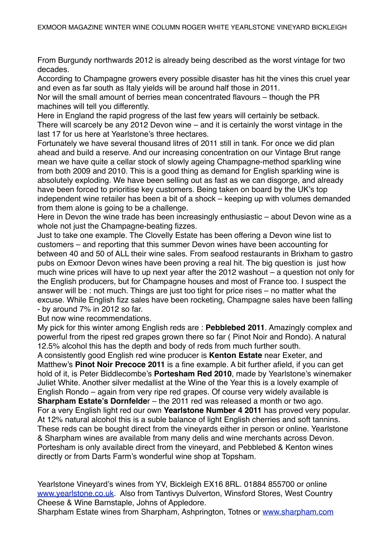From Burgundy northwards 2012 is already being described as the worst vintage for two decades.

According to Champagne growers every possible disaster has hit the vines this cruel year and even as far south as Italy yields will be around half those in 2011.

Nor will the small amount of berries mean concentrated flavours – though the PR machines will tell you differently.

Here in England the rapid progress of the last few years will certainly be setback. There will scarcely be any 2012 Devon wine – and it is certainly the worst vintage in the last 17 for us here at Yearlstone's three hectares.

Fortunately we have several thousand litres of 2011 still in tank. For once we did plan ahead and build a reserve. And our increasing concentration on our Vintage Brut range mean we have quite a cellar stock of slowly ageing Champagne-method sparkling wine from both 2009 and 2010. This is a good thing as demand for English sparkling wine is absolutely exploding. We have been selling out as fast as we can disgorge, and already have been forced to prioritise key customers. Being taken on board by the UK's top independent wine retailer has been a bit of a shock – keeping up with volumes demanded from them alone is going to be a challenge.

Here in Devon the wine trade has been increasingly enthusiastic – about Devon wine as a whole not just the Champagne-beating fizzes.

Just to take one example. The Clovelly Estate has been offering a Devon wine list to customers – and reporting that this summer Devon wines have been accounting for between 40 and 50 of ALL their wine sales. From seafood restaurants in Brixham to gastro pubs on Exmoor Devon wines have been proving a real hit. The big question is just how much wine prices will have to up next year after the 2012 washout – a question not only for the English producers, but for Champagne houses and most of France too. I suspect the answer will be : not much. Things are just too tight for price rises – no matter what the excuse. While English fizz sales have been rocketing, Champagne sales have been falling - by around 7% in 2012 so far.

But now wine recommendations.

My pick for this winter among English reds are : **Pebblebed 2011**. Amazingly complex and powerful from the ripest red grapes grown there so far ( Pinot Noir and Rondo). A natural 12.5% alcohol this has the depth and body of reds from much further south.

A consistently good English red wine producer is **Kenton Estate** near Exeter, and Matthew's **Pinot Noir Precoce 2011** is a fine example. A bit further afield, if you can get hold of it, is Peter Biddlecombe's **Portesham Red 2010**, made by Yearlstone's winemaker Juliet White. Another silver medallist at the Wine of the Year this is a lovely example of English Rondo – again from very ripe red grapes. Of course very widely available is **Sharpham Estate's Dornfelde**r – the 2011 red was released a month or two ago. For a very English light red our own **Yearlstone Number 4 2011** has proved very popular. At 12% natural alcohol this is a suble balance of light English cherries and soft tannins. These reds can be bought direct from the vineyards either in person or online. Yearlstone & Sharpham wines are available from many delis and wine merchants across Devon. Portesham is only available direct from the vineyard, and Pebblebed & Kenton wines directly or from Darts Farm's wonderful wine shop at Topsham.

Yearlstone Vineyard's wines from YV, Bickleigh EX16 8RL. 01884 855700 or online [www.yearlstone.co.uk.](http://www.yearlstone.co.uk) Also from Tantivys Dulverton, Winsford Stores, West Country Cheese & Wine Barnstaple, Johns of Appledore.

Sharpham Estate wines from Sharpham, Ashprington, Totnes or [www.sharpham.com](http://www.sharpham.com)